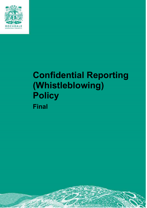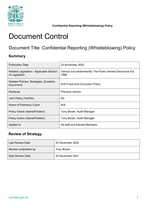

# Document Control

# Document Title: Confidential Reporting (Whistleblowing) Policy

## **Summary**

| <b>Publication Date</b>                                     | 20 November 2020                                                     |
|-------------------------------------------------------------|----------------------------------------------------------------------|
| Related Legislation / Applicable Section<br>of Legislation  | Various but predominantly The Public Interest Disclosure Act<br>1998 |
| Related Policies, Strategies, Guideline<br><b>Documents</b> | Anti-Fraud and Corruption Policy                                     |
| Replaces                                                    | <b>Previous version</b>                                              |
| Joint Policy (Yes/No)                                       | No.                                                                  |
| Name of Partner(s) if joint                                 | N/A                                                                  |
| Policy Owner (Name/Position)                                | Tony Brown, Audit Manager                                            |
| Policy Author (Name/Position)                               | Tony Brown, Audit Manager                                            |
| Applies to                                                  | All staff and Elected Members                                        |

## **Review of Strategy**

| <b>Last Review Date</b> | 20 November 2020 |
|-------------------------|------------------|
| Review undertaken by    | Tony Brown       |
| <b>Next Review Date</b> | 20 November 2021 |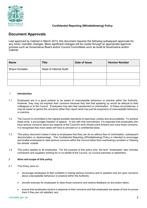

## **Confidential Reporting (Whistleblowing) Policy Confidential Reporting (Whistleblowing) Policy**

## **Document Approvals**

 Last approved by Cabinet in March 2013, this document requires the following subsequent approvals for any minor cosmetic changes. More significant changes will be routed through an appropriate approval process such as Governance Board and/or Council Committees such as Audit & Governance and/or Cabinet.

| <b>Name</b>          | <b>Title</b>           | Date of Issue | <b>Version Number</b> |
|----------------------|------------------------|---------------|-----------------------|
| <b>Shaun Knowles</b> | Head of Internal Audit |               |                       |
|                      |                        |               |                       |
|                      |                        |               |                       |

#### 1 **Introduction**

- 1.1 Employees are in a good position to be aware of unacceptable behaviour or practice within the Authority. However, they may not express their concerns because they feel that speaking up would be disloyal to their may be easier to ignore the concerns rather than report what may just be suspicions of unacceptable behaviour colleagues or to the Council. Employees may also fear harassment or victimisation. In these circumstances, it or practice.
- 1.2 The Council is committed to the highest possible standards of openness, probity and accountability. To achieve these ends, it encourages freedom of speech. In line with that commitment, it is expected that employees who have serious concerns about any aspects of the Council's work should come forward and voice those concerns. It is recognised that most cases will have to proceed on a confidential basis.
- 1.3 This policy document makes it clear to employees that they can do so without fear of victimisation, subsequent discrimination or disadvantage. This Confidential Reporting (Whistleblowing) Policy is intended to encourage and enable employees to raise serious concerns within the Council rather than overlooking a problem or 'blowing the whistle' outside.
- 1.4 This policy applies to all employees. For the purpose of this policy only, the term "employees" also includes contractors and suppliers working for or on behalf of the Council, on Council premises or elsewhere.

#### 2 **Aims and scope of this policy**

- 2.1 This Policy aims to:-
	- encourage employees to feel confident in raising serious concerns and to question and act upon concerns about unacceptable behaviour or practice within the Authority;
	- provide avenues for employees to raise those concerns and receive feedback on any action taken;
	- ensure that employees receive a response to their concerns and that employees are aware of how to pursue them if they are not satisfied; and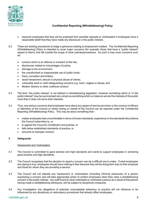

- reassure employees that they will be protected from possible reprisals or victimisation if employees have a reasonable belief that they have made any disclosure in the public interest.
- 2.2 There are existing procedures to lodge a grievance relating to employment matters. The Confidential Reporting (Whistleblowing) Policy is intended to cover major concerns (for example, those that have a "public interest" aspect to them), that fall outside the scope of other policies/procedures. As such it may cover concerns such as:
	- conduct which is an offence or a breach of the law;
	- disclosures related to miscarriages of justice;
	- damage to the environment;
	- the unauthorised or inappropriate use of public funds;
	- fraud, corruption and bribery;
	- racial harassment, sexual or physical abuse of clients;
	- vulnerable adult or child safeguarding concerns e.g. harm, neglect or abuse; and
	- Modern Slavery or other unethical conduct.
- 2.3 The term "the public interest" is not defined in whistleblowing legislation. However something which is "in the public interest" may be summarised very simply as something which on balance serves the interests of the public more than it does not serve their interests.
- 2.4 Thus, any serious concerns that employees have about any aspect of service provision or the conduct of officers or Members of the Council or others acting on behalf of the Council can be reported under the Confidential Reporting (Whistleblowing) Policy. This may be about something that:-
	- makes employees feel uncomfortable in terms of known standards, experience or the standards they believe the Council subscribes to, or
	- is against the Council's Constitution and policies, or
	- falls below established standards of practice, or
	- amounts to improper conduct.

#### **3 Safeguards**

#### Harassment and Victimisation

- 3.1 The Council is committed to good practice and high standards and wants to support employees in achieving good practice and high standards.
- are saying is true, employees should have nothing to fear because they will be doing their duty to their employer 3.2 The Council recognises that the decision to report a concern can be a difficult one to make. If what employees and those for whom they are providing a service.
- 3.3 The Council will not tolerate any harassment or victimisation (including informal pressures) of a person expressing a concern and will take appropriate action to protect employees when they raise a whistleblowing concern in the public interest. Any staff found to have mistreated or victimised a person as a result of that person having made a whistleblowing disclosure, will be subject to disciplinary measures.
- 3.4 Any investigation into allegations of potential unacceptable behaviour or practice will not influence or be influenced by any disciplinary or redundancy procedures that already affect employees.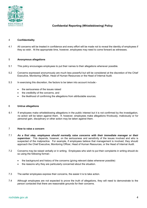

#### 4 **Confidentiality**

4.1 All concerns will be treated in confidence and every effort will be made not to reveal the identity of employees if they so wish. At the appropriate time, however, employees may need to come forward as witnesses.

#### 5 **Anonymous allegations**

- 5.1 This policy encourages employees to put their names to their allegations whenever possible.
- 5.2 Concerns expressed anonymously are much less powerful but will be considered at the discretion of the Chief Executive, Monitoring Officer, Head of Human Resources or the Head of Internal Audit.
- 5.3 In exercising this discretion, the factors to be taken into account include:
	- the seriousness of the issues raised
	- the credibility of the concerns, and
	- the likelihood of confirming the allegations from attributable sources.

#### 6 **Untrue allegations**

 6.1 If employees make whistleblowing allegations in the public interest but it is not confirmed by the investigation, no action will be taken against them. If, however, employees make allegations frivolously, maliciously or for personal gain, disciplinary or other action may be taken against them.

#### 7 **How to raise a concern**

- 7.1 *As a first step, employees should normally raise concerns with their immediate manager or their supervisor*. This depends, however, on the seriousness and sensitivity of the issues involved and who is suspected of the malpractice. For example, if employees believe that management is involved, they should approach the Chief Executive, Monitoring Officer, Head of Human Resources, or the Head of Internal Audit.
- 7.2 Concerns may be raised verbally or in writing. Employees who wish to put their complaints in writing should do so using the following format:
	- the background and history of the concerns (giving relevant dates whenever possible)
	- the reasons why they are particularly concerned about the situation.
- 7.3 The earlier employees express their concerns, the easier it is to take action.
- 7.4 Although employees are not expected to prove the truth of allegations, they will need to demonstrate to the person contacted that there are reasonable grounds for their concerns.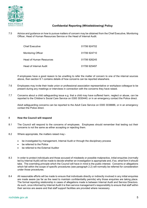

 7.5 Advice and guidance on how to pursue matters of concern may be obtained from the Chief Executive, Monitoring Officer, Head of Human Resources Service or the Head of Internal Audit.

| Chief Executive         | 01706924702  |
|-------------------------|--------------|
| Monitoring Officer      | 01706924710  |
| Head of Human Resources | 01706926245  |
| Head of Internal Audit. | 01706 925497 |

 If employees have a good reason to be unwilling to refer the matter of concern to one of the internal sources above, then section 9.1 contains details of how concerns can be reported elsewhere.

- 7.6 Employees may invite their trade union or professional association representative or workplace colleague to be present during any meetings or interviews in connection with the concerns they have raised.
- 7.7 Concerns about a child safeguarding issue e.g. that a child may have suffered harm, neglect or abuse, can be reported to the Children's Social Care Service on 0300 3030440; or in an emergency contact the Police direct.

 Adult safeguarding concerns can be reported to the Adult Care Service on 0300 3038886, or in an emergency contact the Police direct.

#### 8 **How the Council will respond**

- 8.1 The Council will respond to the concerns of employees. Employees should remember that testing out their concerns is not the same as either accepting or rejecting them.
- 8.2 Where appropriate, the matters raised may:-
	- be investigated by management, Internal Audit or through the disciplinary process
	- be referred to the Police
	- be referred to the External Auditor
- 8.3 In order to protect individuals and those accused of misdeeds or possible malpractice, initial enquiries (normally led by Internal Audit) will be made to decide whether an investigation is appropriate and, if so, what form it should take. The overriding principle which the Council will have in mind is the public interest. Concerns or allegations which fall within the scope of specific procedures (see paragraph 2.2) will normally be referred for consideration under those procedures.
- 8.4 All reasonable efforts will be made to ensure that individuals directly or indirectly involved in any initial enquiries are made aware (as far as the need to maintain confidentiality permits) why those enquiries are taking place. The formal reporting relationship in cases of allegations made is between Internal Audit and Service Directors. As such, once informed by Internal Audit it is then service management's responsibility to ensure that staff within their service are aware and that staff support facilities are provided where necessary.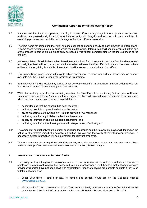

### **Confidential Reporting (Whistleblowing) Policy Confidential Reporting (Whistleblowing) Policy**

- 8.5 It is stressed that there is no presumption of guilt of any officers at any stage in the initial enquiries process. Auditors are professionally bound to work independently with integrity and an open mind and are intent in examining processes and activities at this stage rather than officers personally.
- 8.6 The time frame for completing the initial enquiries cannot be specified easily as each situation is different and, in some cases further issues may arise which require follow up. Internal Audit will seek to ensure that this part of the process is carried out as expediently as possible yet without compromising on the thoroughness of the enquiry.
- 8.7 At the completion of the initial enquiries phase Internal Audit will formally report to the client Service Management (normally the Service Director), who will decide whether to invoke the Council's disciplinary procedures. Where evidence of wrongdoing is identified Internal Audit will make recommendation to that effect.
- 8.8 The Human Resources Service will provide advice and support to managers and staff by advising on support available e.g. the Council's Employee Assistance Programme.
- 8.9 Some concerns may be resolved by agreed action without the need for investigation. If urgent action is required, this will be taken before any investigation is conducted.
- 8.10 Within ten working days of a concern being received the Chief Executive, Monitoring Officer, Head of Human Resources, Head of Internal Audit or another designated officer will write to the complainant in those instances where the complainant has provided contact details :
	- acknowledging that the concern has been received;
	- indicating how it is proposed to deal with the matter;
	- giving an estimate of how long it will take to provide a final response;
	- indicating whether any initial enquiries have been made;
	- supplying information on staff support mechanisms, and
	- indicating whether further investigations will take place and, if not, why not.
- 8.11 The amount of contact between the officer considering the issues and the relevant employee will depend on the nature of the matters raised, the potential difficulties involved and the clarity of the information provided. If necessary, further information will be sought from the relevant employee.
- 8.12 Where any meeting is arranged, off-site if the employee so wishes, the employee can be accompanied by a trade union or professional association representative or a workplace colleague.

#### **How matters of concern can be taken further**  9

- 9.1 This Policy is intended to provide employees with an avenue to raise concerns within the Authority. However, if employees are reluctant to raise their concern through internal channels, or if they feel that matters of concern previously reported have not been dealt with satisfactorily, then the following are possible contacts if they wish to take matters further:-
	- Local Councillors details of how to contact and surgery hours are on the Council's website www.rochdale.gov.uk.
	- Mazars the Council's external auditors. They are completely independent from the Council and can be contacted on 0161 238 9200 or by writing to them at 1 St. Peter's Square, Manchester, M2 3DE.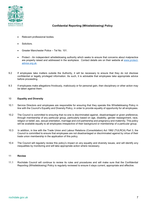

- Relevant professional bodies.
- Solicitors.
- Greater Manchester Police Tel No. 101.
- are properly raised and addressed in the workplace. Contact details are on their website at <u>www.protect-</u> Protect - An independent whistleblowing authority which seeks to ensure that concerns about malpractice advice.org.uk.
- 9.2 If employees take matters outside the Authority, it will be necessary to ensure that they do not disclose confidential or legally privileged information. As such, it is advisable that employees take appropriate advice before proceeding.
- 9.3 If employees make allegations frivolously, maliciously or for personal gain, then disciplinary or other action may be taken against them.

#### 10 **Equality and Diversity**

- line with the Council's Equality and Diversity Policy, in order to provide equality of opportunity for all employees. 10.1 Service Directors and employees are responsible for ensuring that they operate this Whistleblowing Policy in
- 10.2 The Council is committed to ensuring that no-one is discriminated against, disadvantaged or given preference, through membership of any particular group, particularly based on age, disability, gender reassignment, race, religion or belief, sex, sexual orientation, marriage and civil partnership and pregnancy and maternity. This policy will be available equally to all employees irrespective of their background or membership of a particular group.
- 10.3 In addition, in line with the Trade Union and Labour Relations (Consolidation) Act 1992 (TULRCA) Part 3, the Council is committed to ensure that employees are not disadvantaged or discriminated against by virtue of their trade union membership in the application of this policy.
- 10.4 The Council will regularly review this policy's impact on any equality and diversity issues, and will identify any inequalities by monitoring and will take appropriate action where necessary.

#### 11 **Review**

 11.1 Rochdale Council will continue to review its rules and procedures and will make sure that the Confidential Reporting (Whistleblowing) Policy is regularly reviewed to ensure it stays current, appropriate and effective.